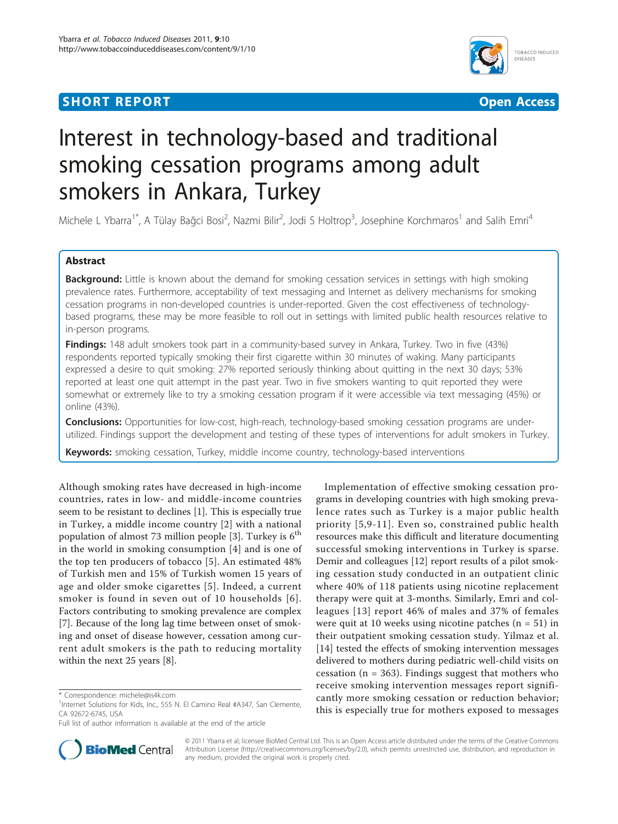# **SHORT REPORT CONSUMING THE SHORT CONSUMING THE CONSUMING THE CONSUMING THE CONSUMING THE CONSUMING THE CONSUMING THE CONSUMING THE CONSUMING THE CONSUMING THE CONSUMING THE CONSUMING THE CONSUMING THE CONSUMING THE CONSUM**



# Interest in technology-based and traditional smoking cessation programs among adult smokers in Ankara, Turkey

Michele L Ybarra<sup>1\*</sup>, A Tülay Bağci Bosi<sup>2</sup>, Nazmi Bilir<sup>2</sup>, Jodi S Holtrop<sup>3</sup>, Josephine Korchmaros<sup>1</sup> and Salih Emri<sup>4</sup>

# Abstract

Background: Little is known about the demand for smoking cessation services in settings with high smoking prevalence rates. Furthermore, acceptability of text messaging and Internet as delivery mechanisms for smoking cessation programs in non-developed countries is under-reported. Given the cost effectiveness of technologybased programs, these may be more feasible to roll out in settings with limited public health resources relative to in-person programs.

Findings: 148 adult smokers took part in a community-based survey in Ankara, Turkey. Two in five (43%) respondents reported typically smoking their first cigarette within 30 minutes of waking. Many participants expressed a desire to quit smoking: 27% reported seriously thinking about quitting in the next 30 days; 53% reported at least one quit attempt in the past year. Two in five smokers wanting to quit reported they were somewhat or extremely like to try a smoking cessation program if it were accessible via text messaging (45%) or online (43%).

**Conclusions:** Opportunities for low-cost, high-reach, technology-based smoking cessation programs are underutilized. Findings support the development and testing of these types of interventions for adult smokers in Turkey.

**Keywords:** smoking cessation, Turkey, middle income country, technology-based interventions

Although smoking rates have decreased in high-income countries, rates in low- and middle-income countries seem to be resistant to declines [[1\]](#page-4-0). This is especially true in Turkey, a middle income country [[2](#page-4-0)] with a national population of almost 7[3](#page-4-0) million people [3]. Turkey is  $6<sup>th</sup>$ in the world in smoking consumption [\[4](#page-4-0)] and is one of the top ten producers of tobacco [[5](#page-4-0)]. An estimated 48% of Turkish men and 15% of Turkish women 15 years of age and older smoke cigarettes [[5](#page-4-0)]. Indeed, a current smoker is found in seven out of 10 households [[6\]](#page-4-0). Factors contributing to smoking prevalence are complex [[7\]](#page-4-0). Because of the long lag time between onset of smoking and onset of disease however, cessation among current adult smokers is the path to reducing mortality within the next 25 years [\[8\]](#page-5-0).

Full list of author information is available at the end of the article



**BioMed Central** 

© 2011 Ybarra et al; licensee BioMed Central Ltd. This is an Open Access article distributed under the terms of the Creative Commons Attribution License [\(http://creativecommons.org/licenses/by/2.0](http://creativecommons.org/licenses/by/2.0)), which permits unrestricted use, distribution, and reproduction in any medium, provided the original work is properly cited.

<sup>\*</sup> Correspondence: [michele@is4k.com](mailto:michele@is4k.com)

<sup>&</sup>lt;sup>1</sup>Internet Solutions for Kids, Inc., 555 N. El Camino Real #A347, San Clemente, CA 92672-6745, USA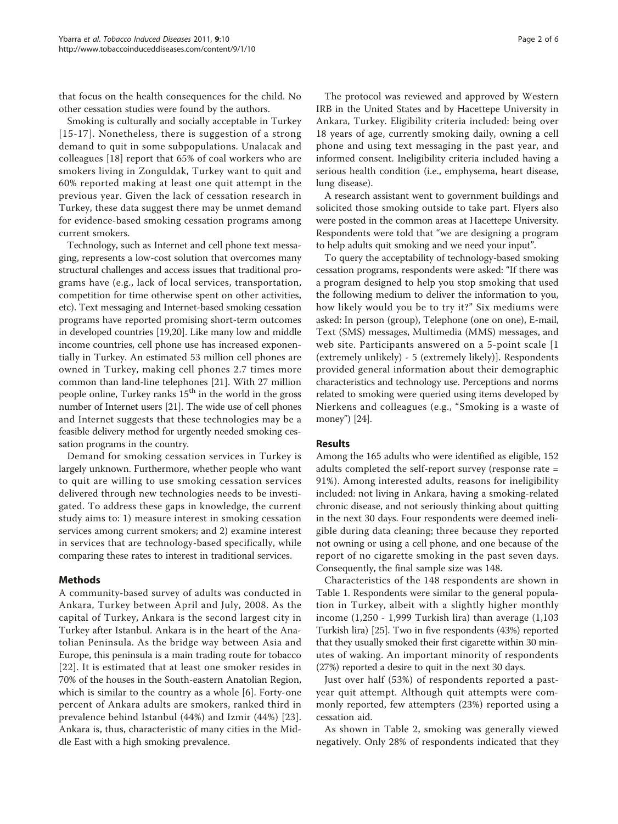that focus on the health consequences for the child. No other cessation studies were found by the authors.

Smoking is culturally and socially acceptable in Turkey [[15-17\]](#page-5-0). Nonetheless, there is suggestion of a strong demand to quit in some subpopulations. Unalacak and colleagues [[18\]](#page-5-0) report that 65% of coal workers who are smokers living in Zonguldak, Turkey want to quit and 60% reported making at least one quit attempt in the previous year. Given the lack of cessation research in Turkey, these data suggest there may be unmet demand for evidence-based smoking cessation programs among current smokers.

Technology, such as Internet and cell phone text messaging, represents a low-cost solution that overcomes many structural challenges and access issues that traditional programs have (e.g., lack of local services, transportation, competition for time otherwise spent on other activities, etc). Text messaging and Internet-based smoking cessation programs have reported promising short-term outcomes in developed countries [[19,20](#page-5-0)]. Like many low and middle income countries, cell phone use has increased exponentially in Turkey. An estimated 53 million cell phones are owned in Turkey, making cell phones 2.7 times more common than land-line telephones [[21\]](#page-5-0). With 27 million people online, Turkey ranks  $15<sup>th</sup>$  in the world in the gross number of Internet users [\[21\]](#page-5-0). The wide use of cell phones and Internet suggests that these technologies may be a feasible delivery method for urgently needed smoking cessation programs in the country.

Demand for smoking cessation services in Turkey is largely unknown. Furthermore, whether people who want to quit are willing to use smoking cessation services delivered through new technologies needs to be investigated. To address these gaps in knowledge, the current study aims to: 1) measure interest in smoking cessation services among current smokers; and 2) examine interest in services that are technology-based specifically, while comparing these rates to interest in traditional services.

### Methods

A community-based survey of adults was conducted in Ankara, Turkey between April and July, 2008. As the capital of Turkey, Ankara is the second largest city in Turkey after Istanbul. Ankara is in the heart of the Anatolian Peninsula. As the bridge way between Asia and Europe, this peninsula is a main trading route for tobacco [[22](#page-5-0)]. It is estimated that at least one smoker resides in 70% of the houses in the South-eastern Anatolian Region, which is similar to the country as a whole [[6\]](#page-4-0). Forty-one percent of Ankara adults are smokers, ranked third in prevalence behind Istanbul (44%) and Izmir (44%) [[23\]](#page-5-0). Ankara is, thus, characteristic of many cities in the Middle East with a high smoking prevalence.

The protocol was reviewed and approved by Western IRB in the United States and by Hacettepe University in Ankara, Turkey. Eligibility criteria included: being over 18 years of age, currently smoking daily, owning a cell phone and using text messaging in the past year, and informed consent. Ineligibility criteria included having a serious health condition (i.e., emphysema, heart disease, lung disease).

A research assistant went to government buildings and solicited those smoking outside to take part. Flyers also were posted in the common areas at Hacettepe University. Respondents were told that "we are designing a program to help adults quit smoking and we need your input".

To query the acceptability of technology-based smoking cessation programs, respondents were asked: "If there was a program designed to help you stop smoking that used the following medium to deliver the information to you, how likely would you be to try it?" Six mediums were asked: In person (group), Telephone (one on one), E-mail, Text (SMS) messages, Multimedia (MMS) messages, and web site. Participants answered on a 5-point scale [1 (extremely unlikely) - 5 (extremely likely)]. Respondents provided general information about their demographic characteristics and technology use. Perceptions and norms related to smoking were queried using items developed by Nierkens and colleagues (e.g., "Smoking is a waste of money") [[24](#page-5-0)].

### Results

Among the 165 adults who were identified as eligible, 152 adults completed the self-report survey (response rate = 91%). Among interested adults, reasons for ineligibility included: not living in Ankara, having a smoking-related chronic disease, and not seriously thinking about quitting in the next 30 days. Four respondents were deemed ineligible during data cleaning; three because they reported not owning or using a cell phone, and one because of the report of no cigarette smoking in the past seven days. Consequently, the final sample size was 148.

Characteristics of the 148 respondents are shown in Table [1](#page-2-0). Respondents were similar to the general population in Turkey, albeit with a slightly higher monthly income (1,250 - 1,999 Turkish lira) than average (1,103 Turkish lira) [\[25\]](#page-5-0). Two in five respondents (43%) reported that they usually smoked their first cigarette within 30 minutes of waking. An important minority of respondents (27%) reported a desire to quit in the next 30 days.

Just over half (53%) of respondents reported a pastyear quit attempt. Although quit attempts were commonly reported, few attempters (23%) reported using a cessation aid.

As shown in Table [2,](#page-2-0) smoking was generally viewed negatively. Only 28% of respondents indicated that they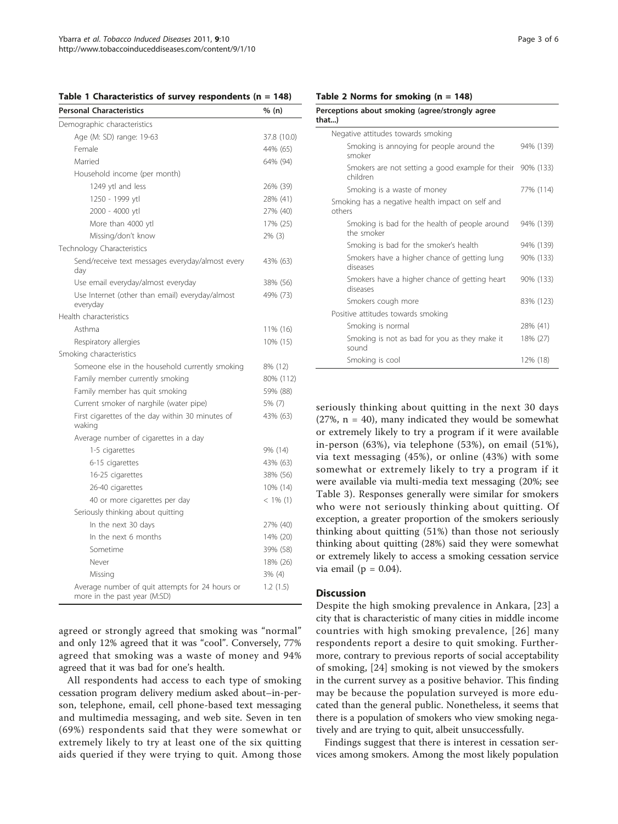<span id="page-2-0"></span>

|  | Table 1 Characteristics of survey respondents ( $n = 148$ ) |  |  |  |  |  |
|--|-------------------------------------------------------------|--|--|--|--|--|
|--|-------------------------------------------------------------|--|--|--|--|--|

| <b>Personal Characteristics</b>                                                 | % (n)       |
|---------------------------------------------------------------------------------|-------------|
| Demographic characteristics                                                     |             |
| Age (M: SD) range: 19-63                                                        | 37.8 (10.0) |
| Female                                                                          | 44% (65)    |
| Married                                                                         | 64% (94)    |
| Household income (per month)                                                    |             |
| 1249 ytl and less                                                               | 26% (39)    |
| 1250 - 1999 ytl                                                                 | 28% (41)    |
| 2000 - 4000 ytl                                                                 | 27% (40)    |
| More than 4000 ytl                                                              | 17% (25)    |
| Missing/don't know                                                              | $2\%$ (3)   |
| Technology Characteristics                                                      |             |
| Send/receive text messages everyday/almost every<br>day                         | 43% (63)    |
| Use email everyday/almost everyday                                              | 38% (56)    |
| Use Internet (other than email) everyday/almost<br>everyday                     | 49% (73)    |
| Health characteristics                                                          |             |
| Asthma                                                                          | 11% (16)    |
| Respiratory allergies                                                           | 10% (15)    |
| Smoking characteristics                                                         |             |
| Someone else in the household currently smoking                                 | 8% (12)     |
| Family member currently smoking                                                 | 80% (112)   |
| Family member has quit smoking                                                  | 59% (88)    |
| Current smoker of narghile (water pipe)                                         | 5% (7)      |
| First cigarettes of the day within 30 minutes of<br>waking                      | 43% (63)    |
| Average number of cigarettes in a day                                           |             |
| 1-5 cigarettes                                                                  | 9% (14)     |
| 6-15 cigarettes                                                                 | 43% (63)    |
| 16-25 cigarettes                                                                | 38% (56)    |
| 26-40 cigarettes                                                                | 10% (14)    |
| 40 or more cigarettes per day                                                   | $< 1\%$ (1) |
| Seriously thinking about quitting                                               |             |
| In the next 30 days                                                             | 27% (40)    |
| In the next 6 months                                                            | 14% (20)    |
| Sometime                                                                        | 39% (58)    |
| Never                                                                           | 18% (26)    |
| Missing                                                                         | 3% (4)      |
| Average number of quit attempts for 24 hours or<br>more in the past year (M:SD) | 1.2(1.5)    |

agreed or strongly agreed that smoking was "normal" and only 12% agreed that it was "cool". Conversely, 77% agreed that smoking was a waste of money and 94% agreed that it was bad for one's health.

All respondents had access to each type of smoking cessation program delivery medium asked about–in-person, telephone, email, cell phone-based text messaging and multimedia messaging, and web site. Seven in ten (69%) respondents said that they were somewhat or extremely likely to try at least one of the six quitting aids queried if they were trying to quit. Among those

| Perceptions about smoking (agree/strongly agree<br>that)               |           |  |  |  |  |
|------------------------------------------------------------------------|-----------|--|--|--|--|
| Negative attitudes towards smoking                                     |           |  |  |  |  |
| Smoking is annoying for people around the<br>smoker                    | 94% (139) |  |  |  |  |
| Smokers are not setting a good example for their 90% (133)<br>children |           |  |  |  |  |
| Smoking is a waste of money                                            | 77% (114) |  |  |  |  |
| Smoking has a negative health impact on self and<br>others             |           |  |  |  |  |
| Smoking is bad for the health of people around<br>the smoker           | 94% (139) |  |  |  |  |
| Smoking is bad for the smoker's health                                 | 94% (139) |  |  |  |  |
| Smokers have a higher chance of getting lung<br>diseases               | 90% (133) |  |  |  |  |
| Smokers have a higher chance of getting heart<br>diseases              | 90% (133) |  |  |  |  |
| Smokers cough more                                                     | 83% (123) |  |  |  |  |
| Positive attitudes towards smoking                                     |           |  |  |  |  |
| Smoking is normal                                                      | 28% (41)  |  |  |  |  |
| Smoking is not as bad for you as they make it<br>sound                 | 18% (27)  |  |  |  |  |
| Smoking is cool                                                        | 12% (18)  |  |  |  |  |

seriously thinking about quitting in the next 30 days  $(27\% , n = 40)$ , many indicated they would be somewhat or extremely likely to try a program if it were available in-person (63%), via telephone (53%), on email (51%), via text messaging (45%), or online (43%) with some somewhat or extremely likely to try a program if it were available via multi-media text messaging (20%; see Table [3\)](#page-3-0). Responses generally were similar for smokers who were not seriously thinking about quitting. Of exception, a greater proportion of the smokers seriously thinking about quitting (51%) than those not seriously thinking about quitting (28%) said they were somewhat or extremely likely to access a smoking cessation service via email ( $p = 0.04$ ).

### **Discussion**

Despite the high smoking prevalence in Ankara, [[23\]](#page-5-0) a city that is characteristic of many cities in middle income countries with high smoking prevalence, [[26\]](#page-5-0) many respondents report a desire to quit smoking. Furthermore, contrary to previous reports of social acceptability of smoking, [[24\]](#page-5-0) smoking is not viewed by the smokers in the current survey as a positive behavior. This finding may be because the population surveyed is more educated than the general public. Nonetheless, it seems that there is a population of smokers who view smoking negatively and are trying to quit, albeit unsuccessfully.

Findings suggest that there is interest in cessation services among smokers. Among the most likely population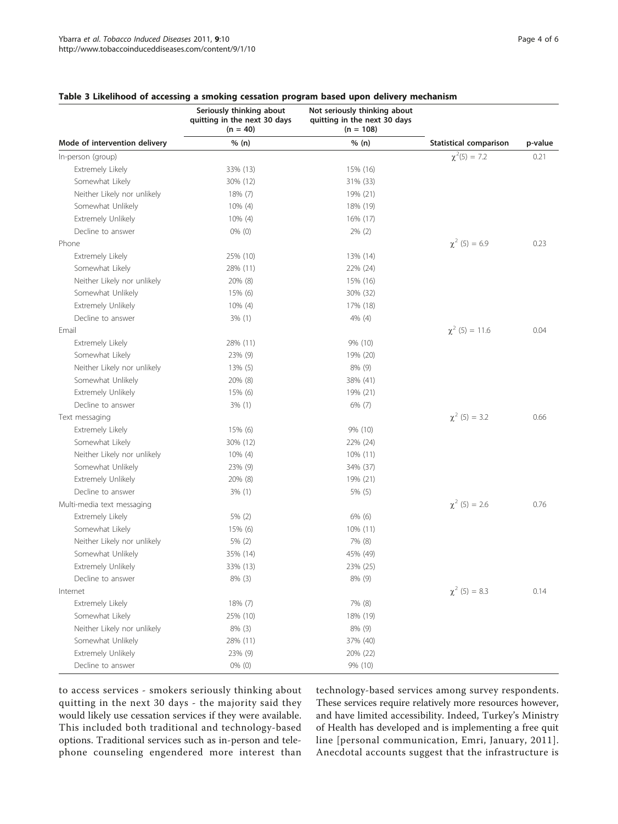|                               | Seriously thinking about<br>quitting in the next 30 days<br>$(n = 40)$ | Not seriously thinking about<br>quitting in the next 30 days<br>$(n = 108)$ |                               | p-value |
|-------------------------------|------------------------------------------------------------------------|-----------------------------------------------------------------------------|-------------------------------|---------|
| Mode of intervention delivery | % (n)                                                                  | % (n)                                                                       | <b>Statistical comparison</b> |         |
| In-person (group)             |                                                                        |                                                                             | $\chi^2(5) = 7.2$             | 0.21    |
| Extremely Likely              | 33% (13)                                                               | 15% (16)                                                                    |                               |         |
| Somewhat Likely               | 30% (12)                                                               | 31% (33)                                                                    |                               |         |
| Neither Likely nor unlikely   | 18% (7)                                                                | 19% (21)                                                                    |                               |         |
| Somewhat Unlikely             | 10% (4)                                                                | 18% (19)                                                                    |                               |         |
| Extremely Unlikely            | $10\%$ (4)                                                             | 16% (17)                                                                    |                               |         |
| Decline to answer             | $0\%$ (0)                                                              | $2\%$ (2)                                                                   |                               |         |
| Phone                         |                                                                        |                                                                             | $\chi^2$ (5) = 6.9            | 0.23    |
| Extremely Likely              | 25% (10)                                                               | 13% (14)                                                                    |                               |         |
| Somewhat Likely               | 28% (11)                                                               | 22% (24)                                                                    |                               |         |
| Neither Likely nor unlikely   | 20% (8)                                                                | 15% (16)                                                                    |                               |         |
| Somewhat Unlikely             | 15% (6)                                                                | 30% (32)                                                                    |                               |         |
| Extremely Unlikely            | 10% (4)                                                                | 17% (18)                                                                    |                               |         |
| Decline to answer             | $3\%$ (1)                                                              | 4% (4)                                                                      |                               |         |
| Email                         |                                                                        |                                                                             | $\chi^2$ (5) = 11.6           | 0.04    |
| Extremely Likely              | 28% (11)                                                               | 9% (10)                                                                     |                               |         |
| Somewhat Likely               | 23% (9)                                                                | 19% (20)                                                                    |                               |         |
| Neither Likely nor unlikely   | $13\%$ (5)                                                             | $8\%$ (9)                                                                   |                               |         |
| Somewhat Unlikely             | 20% (8)                                                                | 38% (41)                                                                    |                               |         |
| Extremely Unlikely            | 15% (6)                                                                | 19% (21)                                                                    |                               |         |
| Decline to answer             | $3\%$ (1)                                                              | $6\%$ (7)                                                                   |                               |         |
| Text messaging                |                                                                        |                                                                             | $\chi^2$ (5) = 3.2            | 0.66    |
| Extremely Likely              | 15% (6)                                                                | 9% (10)                                                                     |                               |         |
| Somewhat Likely               | 30% (12)                                                               | 22% (24)                                                                    |                               |         |
| Neither Likely nor unlikely   | $10\%$ (4)                                                             | $10\%$ (11)                                                                 |                               |         |
| Somewhat Unlikely             | 23% (9)                                                                | 34% (37)                                                                    |                               |         |
| Extremely Unlikely            | 20% (8)                                                                | 19% (21)                                                                    |                               |         |
| Decline to answer             | $3\%$ (1)                                                              | 5% (5)                                                                      |                               |         |
| Multi-media text messaging    |                                                                        |                                                                             | $\chi^2$ (5) = 2.6            | 0.76    |
| Extremely Likely              | $5\%$ (2)                                                              | $6\%$ (6)                                                                   |                               |         |
| Somewhat Likely               | 15% (6)                                                                | 10% (11)                                                                    |                               |         |
| Neither Likely nor unlikely   | 5% (2)                                                                 | 7% (8)                                                                      |                               |         |
| Somewhat Unlikely             | 35% (14)                                                               | 45% (49)                                                                    |                               |         |
| Extremely Unlikely            | 33% (13)                                                               | 23% (25)                                                                    |                               |         |
| Decline to answer             | 8% (3)                                                                 | 8% (9)                                                                      |                               |         |
| Internet                      |                                                                        |                                                                             | $\chi^2$ (5) = 8.3            | 0.14    |
| Extremely Likely              | 18% (7)                                                                | 7% (8)                                                                      |                               |         |
| Somewhat Likely               | 25% (10)                                                               | 18% (19)                                                                    |                               |         |
| Neither Likely nor unlikely   | $8\%$ (3)                                                              | 8% (9)                                                                      |                               |         |
| Somewhat Unlikely             | 28% (11)                                                               | 37% (40)                                                                    |                               |         |
| Extremely Unlikely            | 23% (9)                                                                | 20% (22)                                                                    |                               |         |
| Decline to answer             | 0% (0)                                                                 | 9% (10)                                                                     |                               |         |

# <span id="page-3-0"></span>Table 3 Likelihood of accessing a smoking cessation program based upon delivery mechanism

to access services - smokers seriously thinking about quitting in the next 30 days - the majority said they would likely use cessation services if they were available. This included both traditional and technology-based options. Traditional services such as in-person and telephone counseling engendered more interest than technology-based services among survey respondents. These services require relatively more resources however, and have limited accessibility. Indeed, Turkey's Ministry of Health has developed and is implementing a free quit line [personal communication, Emri, January, 2011]. Anecdotal accounts suggest that the infrastructure is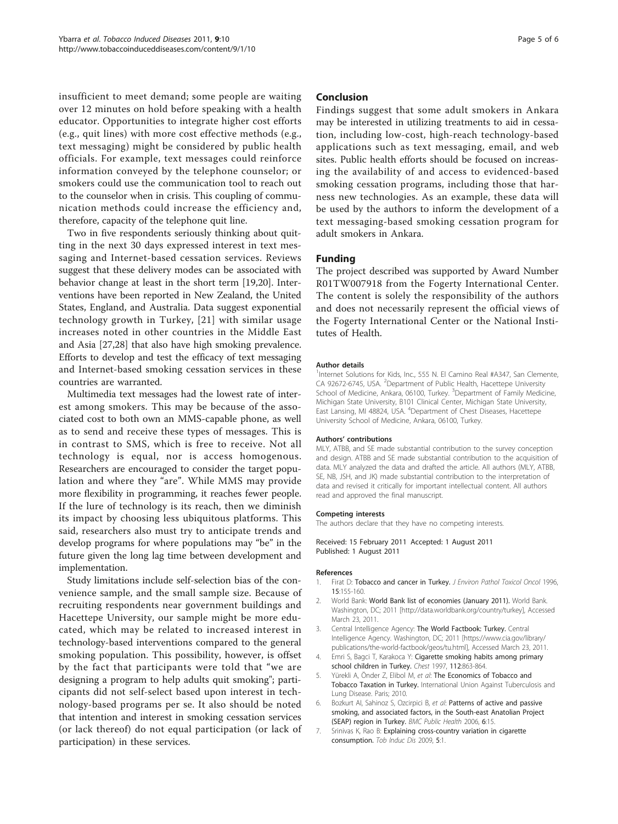<span id="page-4-0"></span>insufficient to meet demand; some people are waiting over 12 minutes on hold before speaking with a health educator. Opportunities to integrate higher cost efforts (e.g., quit lines) with more cost effective methods (e.g., text messaging) might be considered by public health officials. For example, text messages could reinforce information conveyed by the telephone counselor; or smokers could use the communication tool to reach out to the counselor when in crisis. This coupling of communication methods could increase the efficiency and, therefore, capacity of the telephone quit line.

Two in five respondents seriously thinking about quitting in the next 30 days expressed interest in text messaging and Internet-based cessation services. Reviews suggest that these delivery modes can be associated with behavior change at least in the short term [[19,20](#page-5-0)]. Interventions have been reported in New Zealand, the United States, England, and Australia. Data suggest exponential technology growth in Turkey, [[21](#page-5-0)] with similar usage increases noted in other countries in the Middle East and Asia [[27,28](#page-5-0)] that also have high smoking prevalence. Efforts to develop and test the efficacy of text messaging and Internet-based smoking cessation services in these countries are warranted.

Multimedia text messages had the lowest rate of interest among smokers. This may be because of the associated cost to both own an MMS-capable phone, as well as to send and receive these types of messages. This is in contrast to SMS, which is free to receive. Not all technology is equal, nor is access homogenous. Researchers are encouraged to consider the target population and where they "are". While MMS may provide more flexibility in programming, it reaches fewer people. If the lure of technology is its reach, then we diminish its impact by choosing less ubiquitous platforms. This said, researchers also must try to anticipate trends and develop programs for where populations may "be" in the future given the long lag time between development and implementation.

Study limitations include self-selection bias of the convenience sample, and the small sample size. Because of recruiting respondents near government buildings and Hacettepe University, our sample might be more educated, which may be related to increased interest in technology-based interventions compared to the general smoking population. This possibility, however, is offset by the fact that participants were told that "we are designing a program to help adults quit smoking"; participants did not self-select based upon interest in technology-based programs per se. It also should be noted that intention and interest in smoking cessation services (or lack thereof) do not equal participation (or lack of participation) in these services.

# Conclusion

Findings suggest that some adult smokers in Ankara may be interested in utilizing treatments to aid in cessation, including low-cost, high-reach technology-based applications such as text messaging, email, and web sites. Public health efforts should be focused on increasing the availability of and access to evidenced-based smoking cessation programs, including those that harness new technologies. As an example, these data will be used by the authors to inform the development of a text messaging-based smoking cessation program for adult smokers in Ankara.

# Funding

The project described was supported by Award Number R01TW007918 from the Fogerty International Center. The content is solely the responsibility of the authors and does not necessarily represent the official views of the Fogerty International Center or the National Institutes of Health.

#### Author details

<sup>1</sup>Internet Solutions for Kids, Inc., 555 N. El Camino Real #A347, San Clemente, CA 92672-6745, USA. <sup>2</sup>Department of Public Health, Hacettepe University School of Medicine, Ankara, 06100, Turkey. <sup>3</sup>Department of Family Medicine Michigan State University, B101 Clinical Center, Michigan State University, East Lansing, MI 48824, USA. <sup>4</sup>Department of Chest Diseases, Hacettepe University School of Medicine, Ankara, 06100, Turkey.

#### Authors' contributions

MLY, ATBB, and SE made substantial contribution to the survey conception and design. ATBB and SE made substantial contribution to the acquisition of data. MLY analyzed the data and drafted the article. All authors (MLY, ATBB, SE, NB, JSH, and JK) made substantial contribution to the interpretation of data and revised it critically for important intellectual content. All authors read and approved the final manuscript.

#### Competing interests

The authors declare that they have no competing interests.

Received: 15 February 2011 Accepted: 1 August 2011 Published: 1 August 2011

#### References

- 1. Firat D: [Tobacco and cancer in Turkey.](http://www.ncbi.nlm.nih.gov/pubmed/9216799?dopt=Abstract) J Environ Pathol Toxicol Oncol 1996, 15:155-160.
- 2. World Bank: World Bank list of economies (January 2011). World Bank. Washington, DC; 2011 [\[http://data.worldbank.org/country/turkey](http://data.worldbank.org/country/turkey)], Accessed March 23, 2011.
- 3. Central Intelligence Agency: The World Factbook: Turkey. Central Intelligence Agency. Washington, DC; 2011 [\[https://www.cia.gov/library/](https://www.cia.gov/library/publications/the-world-factbook/geos/tu.html) [publications/the-world-factbook/geos/tu.html](https://www.cia.gov/library/publications/the-world-factbook/geos/tu.html)], Accessed March 23, 2011.
- 4. Emri S, Bagci T, Karakoca Y: [Cigarette smoking habits among primary](http://www.ncbi.nlm.nih.gov/pubmed/9315838?dopt=Abstract) [school children in Turkey.](http://www.ncbi.nlm.nih.gov/pubmed/9315838?dopt=Abstract) Chest 1997, 112:863-864.
- Yürekli A, Önder Z, Elibol M, et al: The Economics of Tobacco and Tobacco Taxation in Turkey. International Union Against Tuberculosis and Lung Disease. Paris; 2010.
- 6. Bozkurt AI, Sahinoz S, Ozcirpici B, et al: [Patterns of active and passive](http://www.ncbi.nlm.nih.gov/pubmed/16436202?dopt=Abstract) [smoking, and associated factors, in the South-east Anatolian Project](http://www.ncbi.nlm.nih.gov/pubmed/16436202?dopt=Abstract) [\(SEAP\) region in Turkey.](http://www.ncbi.nlm.nih.gov/pubmed/16436202?dopt=Abstract) BMC Public Health 2006, 6:15.
- 7. Srinivas K, Rao B: [Explaining cross-country variation in cigarette](http://www.ncbi.nlm.nih.gov/pubmed/19133163?dopt=Abstract) [consumption.](http://www.ncbi.nlm.nih.gov/pubmed/19133163?dopt=Abstract) Tob Induc Dis 2009, 5:1.